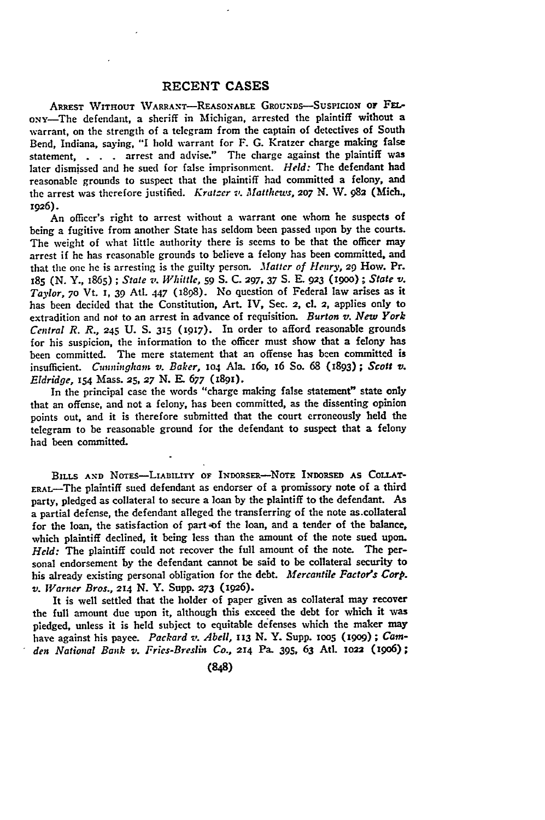## **RECENT CASES**

ARREST WITHOUT VARRANT-REASONABLE GROUNDS-SUSPICION OF **FEL-**ONY-The defendant, a sheriff in Michigan, arrested the plaintiff without a warrant, on the strength of a telegram from the captain of detectives of South Bend, Indiana, saying, **"I** hold warrant for **F.** G. Kratzer charge making false statement, **. . .** arrest and advise." The charge against the plaintiff was later dismissed and he sued for false imprisonment. *Held:* The defendant had reasonable grounds to suspect that the plaintiff had committed a felony, and the arrest was therefore justified. *Krat-er v. Matthews, 207* N. **V. 982** (Mich., **1926).**

An officer's right to arrest without a warrant one whom he suspects of being a fugitive from another State has seldom been passed upon **by** the courts. The weight of what little authority there is seems to be that the officer may arrest if he has reasonable grounds to believe a felony has been committed, and that the one he is arresting is the guilty person. *Matter of Henry,* **29** How. Pr. 185 (N. Y., 1865) **;** *State v. Whittle,* **59 S.** C. **297, 37 S. E. 923 (i9oo) ;** *State v. Taylor,* **70 Vt. I,** 39 **Atl.** 447 (1898). No question of Federal law arises as it has been decided that the Constitution, Art. IV, Sec. **2, c1. 2,** applies only to extradition and not to an arrest in advance of requisition. *Burton v. New York Central R. R.,* **245 U. S. 315** (1917). In order to afford reasonable grounds for his suspicion, the information to the officer must show that a felony has been committed. The mere statement that an offense has been committed is insufficient. *Cunningham v. Baker,* **io4** Ala. i6o, i6 So. 68 (1893); *Scott v. Eldridge,* **154** Mass. **25, 27 N.** *E.* **677** *(189i).*

In the principal case the words "charge making false statement" state only that an offense, and not a felony, has been committed, as the dissenting opinion points out, and it is therefore submitted that the court erroneously held the telegram to be reasonable ground for the defendant to suspect that a felony had been committed.

BILLS **AND** NoTES-LIABILITY **OF INDORSER-NOTE INDORSED AS COLLAT-**ERAL-The plaintiff sued defendant as endorser of a promissory note of a third party, pledged as collateral to secure a loan **by** the plaintiff to the defendant. As a partial defense, the defendant alleged the transferring of the note as.collateral for the loan, the satisfaction of part of the loan, and a tender of the balance, which plaintiff declined, it being less than the amount of the note sued upon. *Held:* The plaintiff could not recover the full amount of the note. The personal endorsement **by** the defendant cannot be said to be collateral security to his already existing personal obligation for the debt. *Mercantile Factor's Corp. v. W~arner Bros., 214 N.* Y. Supp. **273** (1926).

It is well settled that the holder of paper given as collateral may recover the full amount due upon it, although this exceed the debt for which it was pledged, unless it is held subject to equitable defenses which the maker may have against his payee. *Packard -v. Abell, 113* **N.** Y. Supp. ioo5 *(igog) ; Camden National Bak v. Fries-Breslin Co.,* **214** Pa. **395, 63 AtL** *ioaa* (i9o6);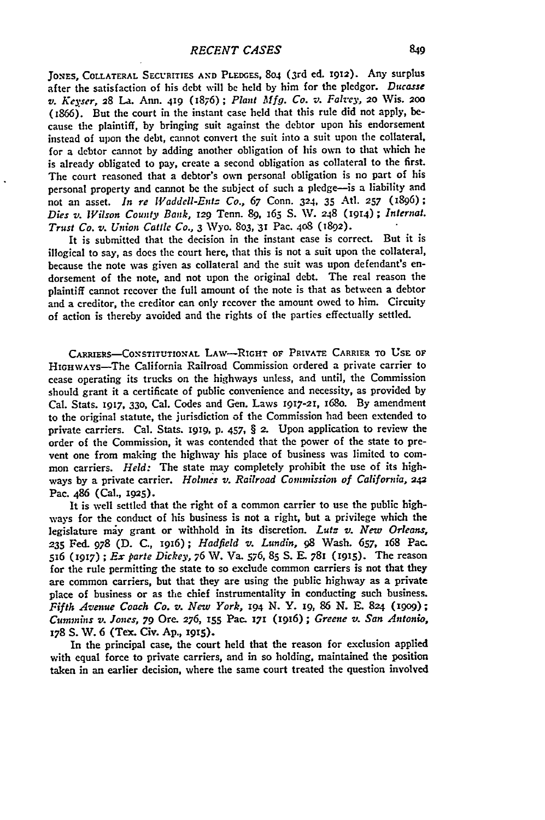**JONES,** COLLATERAL **SECURITIES AND PLEDGES,** 804 (3rd ed. **1912).** Any surplus after the satisfaction of his debt will **be** held **by** him for the pledgor. *Ducasse v. Ke3.ser,* **28 La.** Ann. 419 (1876); *Plant Mfg. Co. v. Fahey,* 20 Wis. 200 (1866). But the court in the instant case held that this rule did not apply, because the plaintiff, **by** bringing suit against the debtor upon his endorsement instead of upon the debt, cannot convert the suit into a suit upon the collateral, for a debtor cannot **by** adding another obligation of his own to that which he is already obligated to pay, create a second obligation as collateral to the first. The court reasoned that a debtor's own personal obligation is no part of his personal property and cannot **be** the subject of such a pledge-is a liability and not an asset. *In re Waddell-Entz Co.,* 67 Conn. 324, **35** Atl. **257** (1896); *Dies v. Wilson County Bank,* **129** Tenn. **89,** i65 S. W. 248 (1914) **;** *Internal. Trust Co. v. Unios Cattle Co., 3* **Wyo. 803, 31** Pac. 408 (1892).

It is submitted that the decision in the instant case is correct. But it is illogical to say, as does the court here, that this is not a suit upon the collateral, because the note was given as collateral and the suit was upon defendant's endorsement of the note, and not upon the original debt. The real reason the plaintiff cannot recover the full amount of the note is that as between a debtor and a creditor, the creditor can only recover the amount owed to him. Circuity of action is thereby avoided and the rights of the parties effectually settled.

CARRIERS-CONSTITUTIONAL LAw-RIGHT **OF PRIVATE CARRIER TO USE OF** HIGHwAYs-The California Railroad Commission ordered a private carrier to cease operating its trucks on the highways unless, and until, the Commission should grant it a certificate of public convenience and necessity, as provided **by** Cal. Stats. **1917, 330,** Cal. Codes and Gen. Laws **1917-21,** *i68o.* By amendment to the original statute, the jurisdiction of the Commission had been extended to private carriers. Cal. Stats. 1919, p. 457, § **2.** Upon application to review the order of the Commission, it was contended that the power of the state to prevent one from making the highway his place of business was limited to common carriers. *Held:* The state may completely prohibit the use of its highways **by** a private carrier. *Holmes v. Railroad Commission of California, 242* Pac. 486 (Cal., 1925).

It is well settled that the right of a common carrier to use the public highways for the conduct of his business is not a right, but a privilege which the legislature may grant or withhold in its discretion. *Lutz v. New Orleans,* **235** Fed. **978 (D.** C., 1916); *Hadfield v. Lundin, 98* Wash. **657,** 168 Pac. **516 (1917)** *; Ex parte Dickey,* **76** W. Va. **576, 85** S. E. 781 (i915). The reason for the rule permitting the state to so exclude common carriers is not that they are common carriers, but that they are using the public highway as a private place of business or as the chief instrumentality in conducting such business. *Fifth Avenue Coach Co. v. New York, r94* **N.** Y. **i9,** 86 **N. E.** *824* **(i909);** *Cummins v. Jones,* **79** Ore. 276, **155** Pac. 171 (1916) **;** *Greene v. San Antonio,* 178 **S.** NV. **6 (Tex.** Civ. **Ap., 1915).**

In the principal case, the court held that the reason for exclusion applied with equal force to private carriers, and in so holding, maintained the position taken in an earlier decision, where the same court treated the question involved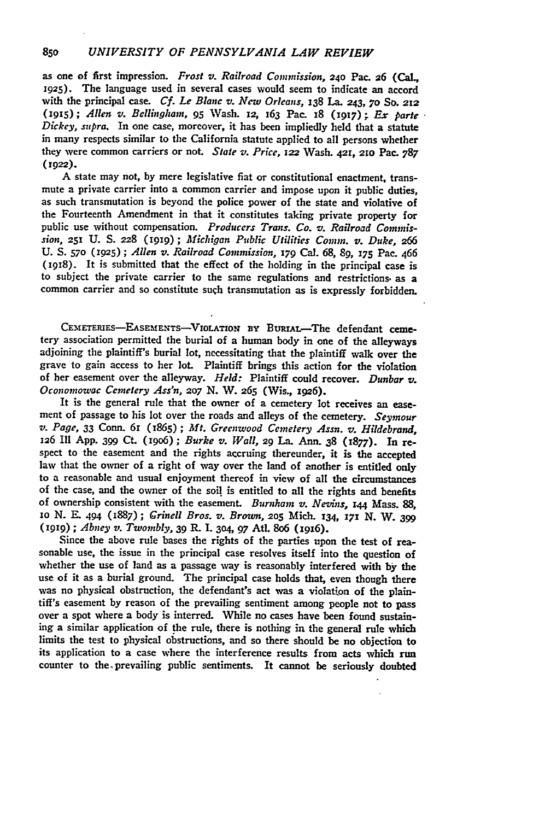as one of first impression. *Frost v. Railroad Commission,* **240** Pac. **26** (Cal., **1925).** The language used in several cases would seem to indicate an accord with the principal case. *Cf. Le Blanc v. New Orleans,* **138** La. *243,* **70** *So. 212 (1915); Allen v. Bcllingham, 95* Wash. **z2,** 163 Pac. **x8 (1917);** *Ex Parte Dickey, supra.* In one case, moreover, it has been impliedly **held** that a statute in many respects similar to the California statute applied to all persons whether they were common carriers or not. *State v. Price, i22* Wash. 421, **210** Pac. **787 (1922).**

**A** state may not, **by** mere legislative fiat or constitutional enactment, transmute a private carrier into a common carrier and impose upon it public duties, as such transmutation is beyond the police power of the state and violative of the Fourteenth Amendment in that it constitutes taking private property for public use without compensation. *Producers Trans. Co. v. Railroad Commission,* **251 U. S. 228 (i919) ;** *Michigan Public Utilities Comm. v. Duke, 266* **U. S. 570** (z925) *; Allen v. Railroad Commission, 179* Cal. **68, 89,** *175* Pac. 466 (1918). It is submitted that the effect of the holding in the principal case is to subject the private carrier to the same regulations and restrictions, as a common carrier and so constitute such transmutation as is expressly forbidden.

**CEMETERIES-EASEMENTS--VIOLATION By** BURIAL-The defendant cemetery association permitted the burial of a human body in one of the alleyways adjoining the plaintiff's burial lot, necessitating that the plaintiff walk over the grave to gain access to her lot. Plaintiff brings this action for the violation of her easement over the alleyway. *Held:* Plaintiff could recover. *Dunbar v. Oconomowac Cemetery Ass'n, 207* **N.** W. **265** (Wis., **z926).**

It is the general rule that the owner of a cemetery lot receives an ease- ment of passage to his lot over the roads and alleys of the cemetery. *Seymour v. Page, 33* Conn. 61 (1865); *Mt. Greenwood Cemetery Assn. v. Hildebrand,* **126** I1 **App.** *399* Ct. (x9o6); *Burke v. Wall,* **29** La. Ann. **38** (1877). In respect to the easement and the rights accruing thereunder, it is the accepted law that the owner of a right of way over the land of another is entitled only to a reasonable and usual enjoyment thereof in view of all the circumstances of the case, and the owner of the soil is entitled to all the rights and benefits of ownership consistent with the easement. Burnham v. Nevins, 144 Mass. 88, 10 N. E. 494 (1887); Grinell Bros. v. Brown, 205 Mich. 134, 171 N. W. 399 **(1919) ;** *Abney v. Twombly,* **39** R. **I. 304,** *97* AtI. 8o6 (xg6).

Since the above rule bases the rights of the parties upon the test of rea- sonable use, the issue in the principal case resolves itself into the question of whether the use of land as a passage way is reasonably interfered with by the use of it as a burial ground. The principal case holds that, even though there was no physical obstruction, the defendant's act was a violation of the plaintiff's easement **by** reason of the prevailing sentiment among people not to pass over a spot where a body is interred. While no cases have been found sustaining a similar application of the rule, there is nothing in the general rule which limits the test to physical obstructions, and so there should be no objection to its application to a case where the interference results from acts which run counter to the.prevailing public sentiments. It cannot be seriously doubted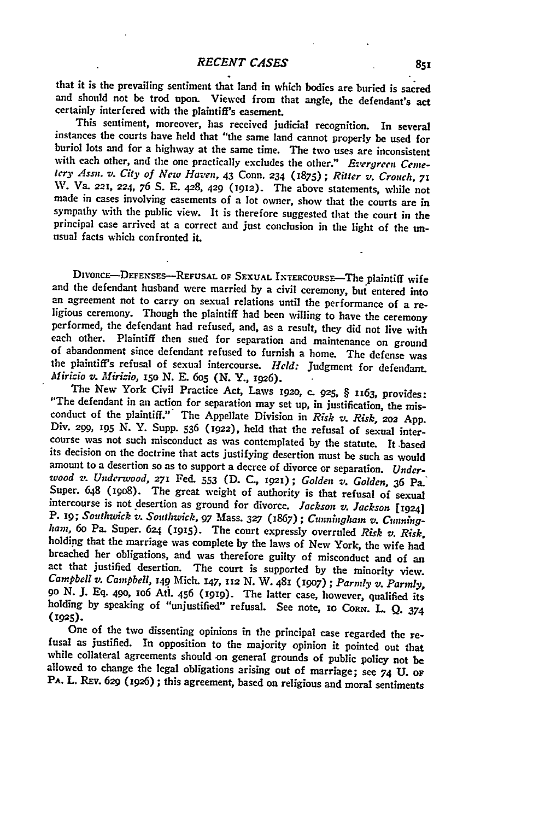that it is the prevailing sentiment that land in which bodies are buried is sacred and should not be trod upon. Viewed from that angle, the defendant's act certainly interfered with the plaintiff's easement.

This sentiment, moreover, has received judicial recognition. In several instances the courts have held that "the same land cannot properly **be** used for buriol lots and for a highway at the same time. The two uses are inconsistent with each other, and the **one** practically excludes the other." *Evergreen Ceme- Icry Assn. v. City of New Haven,* 43 Conn. **234 (1875) ;** *Ritter v. Crouch, <sup>71</sup>* W. Va. **221,** 224, **76 S. E.** 428, **429 (1912).** The above statements, while not made in cases involving easements of a lot owner, show that the courts are in sympathy with the public view. It is therefore suggested that the court in the principal case arrived at a correct and just conclusion in the light of the un- usual facts which confronted it.

DIVORCE-DEFENSES--REFUSAL OF SEXUAL INTERCOURSE-The plaintiff wife<br>and the defendant husband were married by a civil ceremony, but entered into an agreement not to carry on sexual relations until the performance of a re-<br>ligious ceremony. Though the plaintiff had been willing to have the ceremony<br>performed, the defendant had refused, and, as a result, they did not each other. Plaintiff then sued for separation and maintenance on ground<br>of abandonment since defendant refused to furnish a home. The defense was<br>the plaintiff's refusal of sexual intercourse. *Held*: Judgment for defenda

Mirizio v. Mirizio, 150 N. E. 605 (N. Y., 1926).<br>The New York Civil Practice Act, Laws 1920, c. 925, § 1163, provides:<br>"The defendant in an action for separation may set up, in justification, the misconduct of the plaintiff." The Appellate Division in Risk v. Risk, 202 App.<br>Div. 299, 195 N. Y. Supp. 536 (1922), held that the refusal of sexual inter-<br>course was not such misconduct as was contemplated by the statute. It its decision on the doctrine that acts justifying desertion must **be** such as would amount to a desertion so as to support a decree of divorce or separation. *Underwood v. Underwood, 271 Fed. 553 (D. C., 1921); Golden v. Golden, 36 Pa.* Super. 648 (1908). The great weight of authority is that refusal of sexual intercourse is not desertion as ground for divorce. Jackson v. Jackson [1924] P. 19; Southwick v. Southwick, 97 Mass. 327 (1867); Cumningham v. Cumningham, 60 Pa. Super. 624 (1915). The court expressly overruled Risk v. Ri breached her obligations, and was therefore guilty of misconduct and of an act that justified desertion. The court is supported **by** the minority view. Campbell v. Campbell, 149 Mich. 147, 112 N. W. 481 (1907); Parmly v. Parmly, 90 N. J. Eq. 490, 106 Atl. 456 (1919). The latter case, however, qualified its holding by speaking of "unjustified" refusal. See note, 10 CORN. L (1925).

One of the two dissenting opinions in the principal case regarded the re- fusal as justified. In opposition to the majority opinion it pointed out that while collateral agreements should on general grounds of public policy not be allowed to change the legal obligations arising out of marriage; see 74 **U**. OF **PA.** L. **REv. 629** (1926) **;** this agreement, based on religious and moral sentiments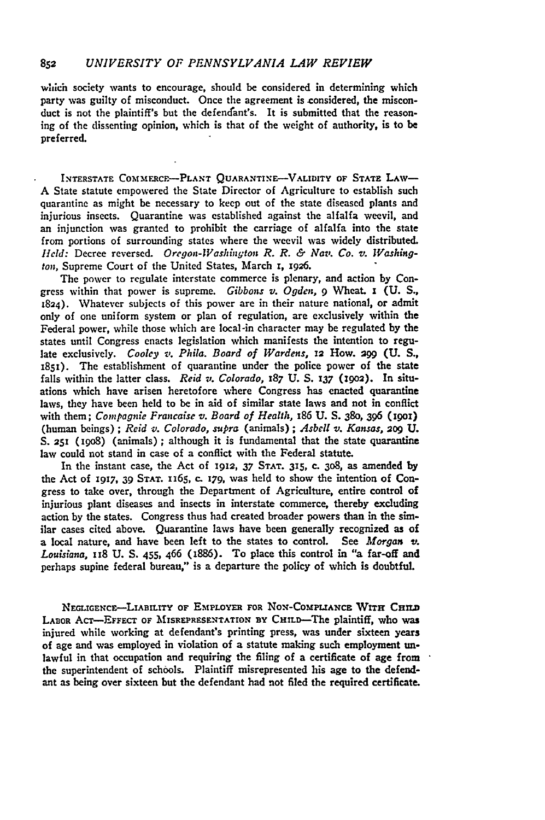## **852** *UNIVERSITY OF PENNSYLVANIA LAW REVIEW*

which society wants to encourage, should be considered in determining which party was guilty of misconduct. Once the agreement is considered, the misconduct is not the plaintiff's but the defendant's. It is submitted that the reasoning of the dissenting opinion, which is that of the weight of authority, is to be preferred.

INTERSTATE COMMFRCE-PLANT QUARANTINE-VALIDITY **OF STATE** LAw-**A** State statute empowered the State Director of Agriculture to establish such quarantine as might be necessary to keep out of the state diseased plants and injurious insects. Quarantine was established against the alfalfa weevil, and an injunction was granted to prohibit the carriage of alfalfa into the state from portions of surrounding states where the weevil was widely distributed. *Held:* Decree reversed. *Oregon-Washington R. R. & Nav. Co. v.* Washington, Supreme Court of the United States, March **z, 1926.**

The power to regulate interstate commerce is plenary, and action **by** Congress within that power is supreme. *Gibbons v. Ogden,* **9** Wheat. x **(U. S.,** 1824). Whatever subjects of this power are in their nature national, or admit only of one uniform system or plan of regulation, are exclusively within the Federal power, while those which are local-in character may be regulated **by** the states until Congress enacts legislation which manifests the intention to regulate exclusively. *Cooley v. Phila. Board of Wardens, 12* **How. 29 (U. S.,** 185z). The establishment of quarantine under the police power of the state falls within the latter class. *Reid v. Colorado,* **187 U.** *S. 137 (19o2).* **In situ**ations which have arisen heretofore where Congress has enacted quarantine laws, they have been held to be in aid of similar state laws and not in conflict with them; *Compagnie Francaise v. Board of Health*, 186 U. S. 380, 396 (1901) (human beings); *Reid v. Colorado, supra* (animals) **;** *Asbell v. Kansas,* **209 U. S. 251** (1908) (animals) **;** although it is fundamental that the state quarantine law could not stand in case of a conflict with the Federal statute.

In the instant case, the Act of 1912, **37 STAT. 315,** c. **3O8,** as amended **by** the Act of **1917, 39 STAT.** 1165, *c-* **179,** was held to show the intention of Congress to take over, through the Department of Agriculture, entire control of injurious plant diseases and insects in interstate commerce, thereby excluding action by the states. Congress thus had created broader powers than in the similar cases cited above. Quarantine laws have been generally recognized as of a local nature, and have been left to the states to control. See *Morgan v. Louisiana, 1i8* **U. S.** 455, 466 (1886). To place this control in "a far-off and perhaps supine federal bureau," is a departure the policy of which is doubtful.

**NEcLIGENcE-LIABILITY OF EMPLOYER FOR** NoN-ComPUANcE **WITH CHILD** LABOR **ACT-EFFECT OF MISREPRESENTATION** *aY* CHrLD--The plaintiff, who was injured while working at defendant's printing press, was under sixteen **years of age** and was employed in violation of a statute making such employment **unlawful** in that **occupation and requiring the filing of a certificate of age from** the superintendent of schools. Plaintiff misrepresented his age to the defendant as **being over sixteen but the defendant** had not filed the required certificate.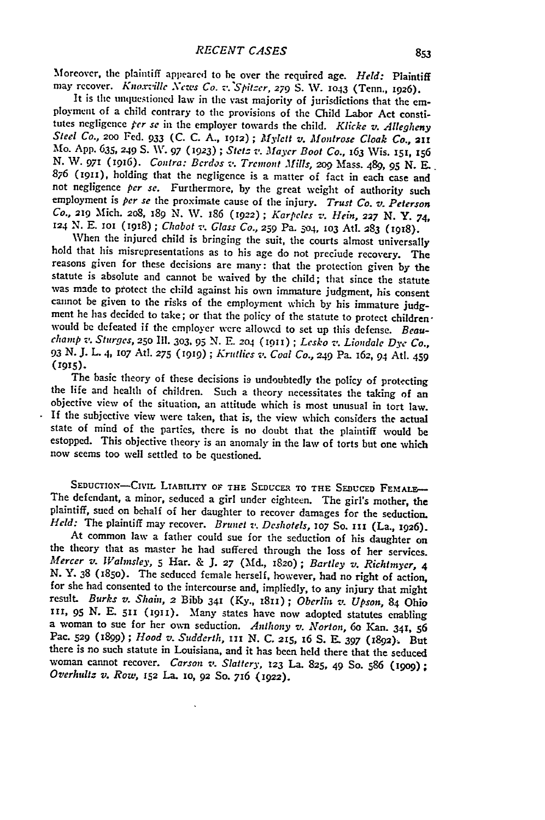Moreover, the plaintiff appeared to be over the required age. *Held:* Plaintiff may recover. *Knoxville News Co. v. Spitzer*, 279 S. W. 1043 (Tenn., 1926).

It is the unquestioned law in the vast majority of jurisdictions that the employment of a child contrary to the provisions of the Child Labor Act constitutes negligence *ter se* in the employer towards the child. *Kiicke v. Allegheny Steel Co., 2oo* Fed. **933 (C. C. A., 1912) ;** *Mylett v. Montrose Cloak Co.,* <sup>211</sup> Mo. **App. 635, 249 S. NN. 97 (1923) ;** *Stinc v. Mayer Boot Co.,* 163 Wis. isi, **<sup>156</sup> N.** W. **971** (i916). *Contra: Berdos v. Tremont Mills,* **209** Mass. 489, *95* **N.** *E. <sup>876</sup>***(19I1),** holding that the negligence is a matter of fact in each case and not negligence *per se.* Furthermore, **by** the great weight of authority such employment is *per se* the proximate cause of the injury. *Trust Co. v. Peterson Co.,* **219** Mich. **208,** 189 **N. W.** 186 **(1922) ;** *Karpeles v. Hein, 227 N. Y. 74,*

When the injured child is bringing the suit, the courts almost universally<br>hold that his misrepresentations as to his age do not preciude recovery. The<br>reasons given for these decisions are many: that the protection given statute is absolute and cannot **be** waived **by** the child; that since the statute was made to protect the child against his own immature judgment, his consent cannot be given to the risks of the employment which by his immature **judg-** ment he has decided to take; or that the policy **of** the statute to protect childrenwould **be** defeated if the employer were allowed to set up this defense. *Beauchamp v. Sturges,* **25o** Ill. **3o3,** 95 **N. E. 204 (1911) ;** *Lesko z. Liondale Dye Co.,* **<sup>93</sup>***N.* **J.** L. 4, **io7** Atd. **275** *(i919)* **;** *Krutlies z,. Coal Co.,* **249** Pa. **162,** 94 AtI. **<sup>459</sup> (1915).**

The basic theory of these decisions is undoubtedly the policy of protecting<br>the life and health of children. Such a theory necessitates the taking of an<br>objective view of the situation, an attitude which is most unusual in state of mind of the parties, there is no doubt that the plaintiff would be estopped. This objective theory is an anomaly in the law of torts but one which now seems too well settled to be questioned.

SEDUCTION-CIVIL LIABILITY OF THE SEDUCER TO THE SEDUCED FEMALE-The defendant, a minor, seduced a girl under eighteen. The girl's mother, the plaintiff, sued on behalf of her daughter to recover damages for the seduction.

Held: The plaintiff may recover. Brunet v. Deshotels, 107 So. 111 (La., 1926).<br>At common law a father could sue for the seduction of his daughter on<br>the theory that as master he had suffered through the loss of her service *Mercer v. Walnsley,* **5 Har. & J. 27 ('Md., 182o);** *Bartley v. Richimyer, 4* N. Y. 38 (1850). The seduced female herself, however, had no right of action, for she had consented to the intercourse and, impliedly, to any injury that might result. Burks v. Shain, 2 Bibb 341 (Ky., 1811); Oberlin v. Ups **I1,** 95 **N. E. 511 (i911).** fany states have now adopted statutes enabling a woman to sue for her own seduction. *Anthony v. Norton,* **60** Kan. **341, 56** Pac. 529 (1899); *Hood v. Sudderth*, **111 N. C. 215, 16 S. E. 397 (1892).** But there is no such statute in Louisiana, and it has been held there that the seduced woman cannot recover. Carson v. Slattery, 123 La. 825, 49 So. 586 (1909); Overhults v. Row, 152 La. 10, 92 So. 716 (1922).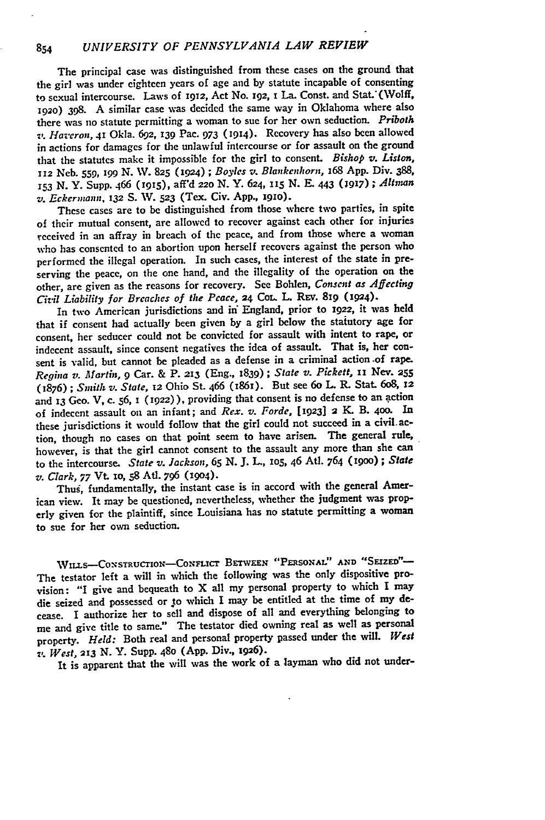The principal case was distinguished from these cases on the ground that the girl was under eighteen years of age and **by** statute incapable of consenting to sexual intercourse. Laws of **1912,** Act No. *z92,* **i** La. Const. and Stat.'(Wolff, **1920)** 398. A similar case was decided the same way in Oklahoma where also there was no statute permitting a woman to sue for her own seduction. *Priboth* **,v.** *Haveron,* 41 Okla. **692, 139** Pac. **973** (1914). Recovery has also been allowed in actions for damages for the unlawful intercourse or for assault on the ground that the statutes make it impossible for the girl to consent. *Bishop v. Liston,* **112 Neb. 559, x99 N.** \V. **825 (1924);** *Boyles v. Blankenhorn,* 168 App. Div. **388,** *<sup>153</sup>***N. Y.** Supp. 466 **(i915),** aff'd *220* **N.** Y. 624, **115 N. E.** 443 **(I917) ;** *ltman v. Eckerinann.* **132** S. **NV. 523** (Tex. Civ. **App., i9io).**

These cases are to be distinguished from those where two parties, in spite of their mutual consent, are allowed to recover against each other for injuries received in an affray in breach of the peace, and from those where a woman who has consented to an abortion upon herself recovers against the person who performed the illegal operation. In such cases, the interest of the state in preserving the peace, on the one hand, and the illegality of the operation on the other, are given as the reasons for recovery. See Bohlen, *Consent as Affecting Civil Liability for Breaches of the Peace,* **24** CoL. L. **REv. 8ig (1924).**

In two American jurisdictions and ini England, prior to **1922,** it was held that if consent had actually been given **by** a girl below the statutory age for consent, her seducer could not be convicted for assault with intent to rape, or indecent assault, since consent negatives the idea of assault. That is, her consent is valid, but cannot **be** pleaded as a defense in a criminal action-of rape. *Regina v. Martin,* **9** Car. & P. **213** (Eng., 1839) ; *State v. Pickett,* **ii** Nev. **<sup>255</sup>** (1876) ; *Smith v. State,* **12** Ohio St. 466 (i861). But see 6o L. R. Stat. 6o8, **12** and **13** Geo. V, c. **56, I (1922)),** providing that consent is no defense to an action of indecent assault on an infant; and *Rex. v. Forde,* **[1923] 2 K** B. 400. In these jurisdictions it would follow that the girl could not succeed in a civil.action, though no cases on that point seem to have arisen. The general rule, however, is that the girl cannot consent to the assault any more than she can to the intercourse. *State v. Jackson,* **65 N. 3. L., 105,** 46 AtI. 764 (igoo) **;** *State v. Clark, 77* Vt. lo, **58** At. **796 (1904).**

Thus, fundamentally, the instant case is in accord with the general American view. It may be questioned, nevertheless, whether the judgment was properly given for the plaintiff, since Louisiana has no statute permitting a woman to sue for her own seduction.

WILLS-CONSTRUCTION-CONFLICT BETWEEN "PERSONAL" AND "SEIZED"-**The** testator **left** a will in which the following was the only dispositive provision: "I give and bequeath to X all **my** personal **property to** which I may die seized and possessed or **to** which I may be entitled at the time of my decease. I authorize her to sell and dispose of all and everything belonging to me and give title to same." The testator died owning real as well as personal **property.** *Held:* Both real and personal property passed under the will. *West* .I *West, 213* **N.** Y. Supp. 480 **(App.** Div., 1926).

It is apparent that the will was the work of a layman who did not under-